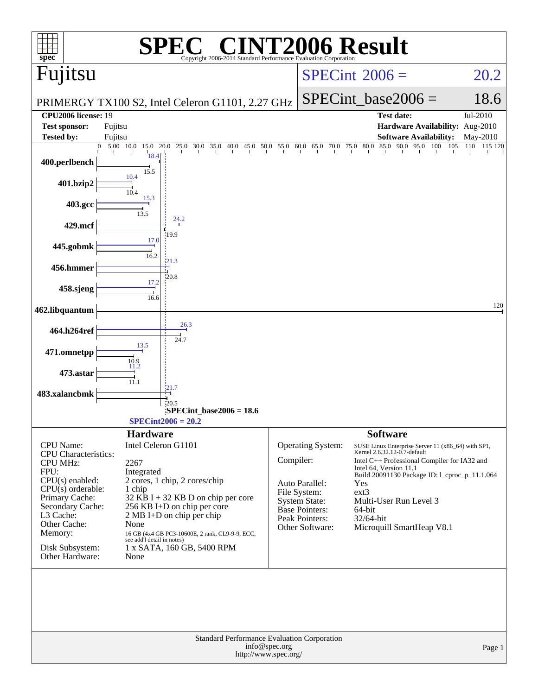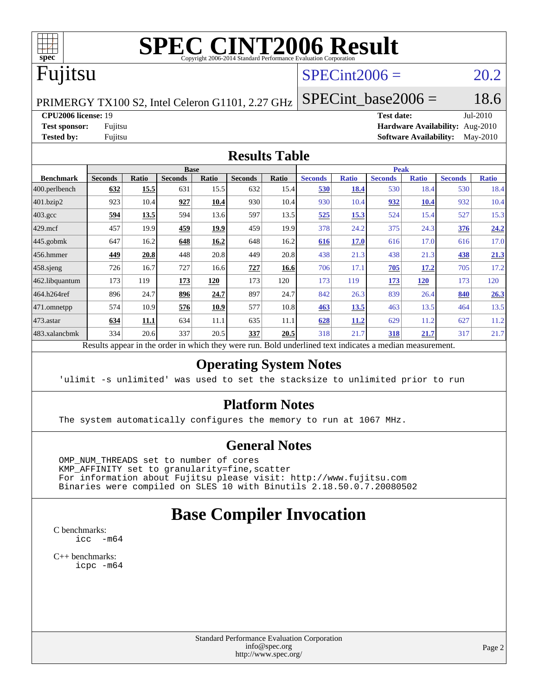

## Fujitsu

#### $SPECint2006 = 20.2$  $SPECint2006 = 20.2$

PRIMERGY TX100 S2, Intel Celeron G1101, 2.27 GHz

**[CPU2006 license:](http://www.spec.org/auto/cpu2006/Docs/result-fields.html#CPU2006license)** 19 **[Test date:](http://www.spec.org/auto/cpu2006/Docs/result-fields.html#Testdate)** Jul-2010 **[Test sponsor:](http://www.spec.org/auto/cpu2006/Docs/result-fields.html#Testsponsor)** Fujitsu **[Hardware Availability:](http://www.spec.org/auto/cpu2006/Docs/result-fields.html#HardwareAvailability)** Aug-2010 **[Tested by:](http://www.spec.org/auto/cpu2006/Docs/result-fields.html#Testedby)** Fujitsu **[Software Availability:](http://www.spec.org/auto/cpu2006/Docs/result-fields.html#SoftwareAvailability)** May-2010

SPECint base2006 =  $18.6$ 

#### **[Results Table](http://www.spec.org/auto/cpu2006/Docs/result-fields.html#ResultsTable)**

|                      | <b>Base</b>    |       |                                                                                                       |       |                |       | <b>Peak</b>    |              |                |              |                |              |
|----------------------|----------------|-------|-------------------------------------------------------------------------------------------------------|-------|----------------|-------|----------------|--------------|----------------|--------------|----------------|--------------|
| <b>Benchmark</b>     | <b>Seconds</b> | Ratio | <b>Seconds</b>                                                                                        | Ratio | <b>Seconds</b> | Ratio | <b>Seconds</b> | <b>Ratio</b> | <b>Seconds</b> | <b>Ratio</b> | <b>Seconds</b> | <b>Ratio</b> |
| 400.perlbench        | 632            | 15.5  | 631                                                                                                   | 15.5  | 632            | 15.4  | 530            | 18.4         | 530            | 18.4         | 530            | 18.4         |
| 401.bzip2            | 923            | 10.4  | 927                                                                                                   | 10.4  | 930            | 10.4  | 930            | 10.4         | 932            | 10.4         | 932            | 10.4         |
| $403.\text{gcc}$     | 594            | 13.5  | 594                                                                                                   | 13.6  | 597            | 13.5  | 525            | 15.3         | 524            | 15.4         | 527            | 15.3         |
| 429.mcf              | 457            | 19.9  | 459                                                                                                   | 19.9  | 459            | 19.9  | 378            | 24.2         | 375            | 24.3         | <b>376</b>     | 24.2         |
| $ 445.\text{gobmk} $ | 647            | 16.2  | 648                                                                                                   | 16.2  | 648            | 16.2  | 616            | 17.0         | 616            | 17.0         | 616            | 17.0         |
| 456.hmmer            | 449            | 20.8  | 448                                                                                                   | 20.8  | 449            | 20.8  | 438            | 21.3         | 438            | 21.3         | 438            | <u>21.3</u>  |
| $458$ .sjeng         | 726            | 16.7  | 727                                                                                                   | 16.6  | 727            | 16.6  | 706            | 17.1         | 705            | 17.2         | 705            | 17.2         |
| 462.libquantum       | 173            | 119   | 173                                                                                                   | 120   | 173            | 120   | 173            | 119          | 173            | 120          | 173            | 120          |
| 464.h264ref          | 896            | 24.7  | 896                                                                                                   | 24.7  | 897            | 24.7  | 842            | 26.3         | 839            | 26.4         | 840            | 26.3         |
| 471.omnetpp          | 574            | 10.9  | 576                                                                                                   | 10.9  | 577            | 10.8  | 463            | 13.5         | 463            | 13.5         | 464            | 13.5         |
| $ 473$ . astar       | 634            | 11.1  | 634                                                                                                   | 11.1  | 635            | 11.1  | 628            | 11.2         | 629            | 11.2         | 627            | 11.2         |
| 483.xalancbmk        | 334            | 20.6  | 337                                                                                                   | 20.5  | 337            | 20.5  | 318            | 21.7         | 318            | 21.7         | 317            | 21.7         |
|                      |                |       | Decute enneau in the order in which thay were mu. Dold underlined text indicates a modian measurement |       |                |       |                |              |                |              |                |              |

Results appear in the [order in which they were run.](http://www.spec.org/auto/cpu2006/Docs/result-fields.html#RunOrder) Bold underlined text [indicates a median measurement.](http://www.spec.org/auto/cpu2006/Docs/result-fields.html#Median)

#### **[Operating System Notes](http://www.spec.org/auto/cpu2006/Docs/result-fields.html#OperatingSystemNotes)**

'ulimit -s unlimited' was used to set the stacksize to unlimited prior to run

#### **[Platform Notes](http://www.spec.org/auto/cpu2006/Docs/result-fields.html#PlatformNotes)**

The system automatically configures the memory to run at 1067 MHz.

#### **[General Notes](http://www.spec.org/auto/cpu2006/Docs/result-fields.html#GeneralNotes)**

 OMP\_NUM\_THREADS set to number of cores KMP\_AFFINITY set to granularity=fine,scatter For information about Fujitsu please visit: <http://www.fujitsu.com> Binaries were compiled on SLES 10 with Binutils 2.18.50.0.7.20080502

#### **[Base Compiler Invocation](http://www.spec.org/auto/cpu2006/Docs/result-fields.html#BaseCompilerInvocation)**

[C benchmarks](http://www.spec.org/auto/cpu2006/Docs/result-fields.html#Cbenchmarks): [icc -m64](http://www.spec.org/cpu2006/results/res2010q3/cpu2006-20100716-12441.flags.html#user_CCbase_intel_icc_64bit_f346026e86af2a669e726fe758c88044)

[C++ benchmarks:](http://www.spec.org/auto/cpu2006/Docs/result-fields.html#CXXbenchmarks) [icpc -m64](http://www.spec.org/cpu2006/results/res2010q3/cpu2006-20100716-12441.flags.html#user_CXXbase_intel_icpc_64bit_fc66a5337ce925472a5c54ad6a0de310)

> Standard Performance Evaluation Corporation [info@spec.org](mailto:info@spec.org) <http://www.spec.org/>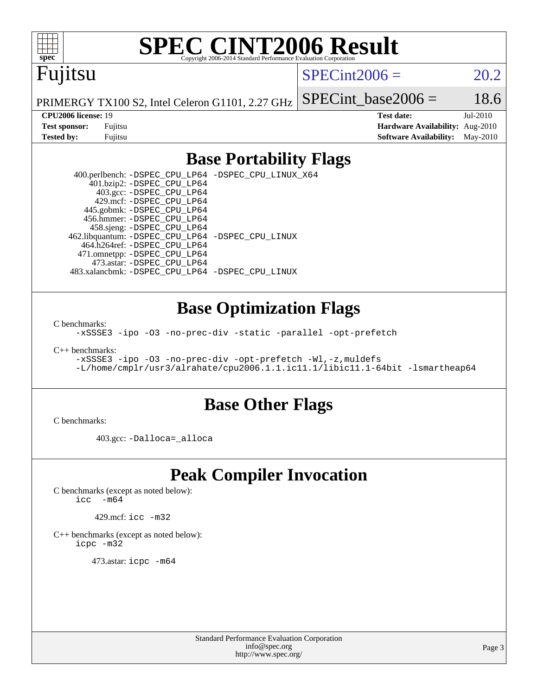

### Fujitsu

 $SPECint2006 = 20.2$  $SPECint2006 = 20.2$ 

PRIMERGY TX100 S2, Intel Celeron G1101, 2.27 GHz

SPECint base2006 =  $18.6$ 

**[CPU2006 license:](http://www.spec.org/auto/cpu2006/Docs/result-fields.html#CPU2006license)** 19 **[Test date:](http://www.spec.org/auto/cpu2006/Docs/result-fields.html#Testdate)** Jul-2010 **[Test sponsor:](http://www.spec.org/auto/cpu2006/Docs/result-fields.html#Testsponsor)** Fujitsu **[Hardware Availability:](http://www.spec.org/auto/cpu2006/Docs/result-fields.html#HardwareAvailability)** Aug-2010 **[Tested by:](http://www.spec.org/auto/cpu2006/Docs/result-fields.html#Testedby)** Fujitsu **[Software Availability:](http://www.spec.org/auto/cpu2006/Docs/result-fields.html#SoftwareAvailability)** May-2010

#### **[Base Portability Flags](http://www.spec.org/auto/cpu2006/Docs/result-fields.html#BasePortabilityFlags)**

 400.perlbench: [-DSPEC\\_CPU\\_LP64](http://www.spec.org/cpu2006/results/res2010q3/cpu2006-20100716-12441.flags.html#b400.perlbench_basePORTABILITY_DSPEC_CPU_LP64) [-DSPEC\\_CPU\\_LINUX\\_X64](http://www.spec.org/cpu2006/results/res2010q3/cpu2006-20100716-12441.flags.html#b400.perlbench_baseCPORTABILITY_DSPEC_CPU_LINUX_X64) 401.bzip2: [-DSPEC\\_CPU\\_LP64](http://www.spec.org/cpu2006/results/res2010q3/cpu2006-20100716-12441.flags.html#suite_basePORTABILITY401_bzip2_DSPEC_CPU_LP64) 403.gcc: [-DSPEC\\_CPU\\_LP64](http://www.spec.org/cpu2006/results/res2010q3/cpu2006-20100716-12441.flags.html#suite_basePORTABILITY403_gcc_DSPEC_CPU_LP64) 429.mcf: [-DSPEC\\_CPU\\_LP64](http://www.spec.org/cpu2006/results/res2010q3/cpu2006-20100716-12441.flags.html#suite_basePORTABILITY429_mcf_DSPEC_CPU_LP64) 445.gobmk: [-DSPEC\\_CPU\\_LP64](http://www.spec.org/cpu2006/results/res2010q3/cpu2006-20100716-12441.flags.html#suite_basePORTABILITY445_gobmk_DSPEC_CPU_LP64) 456.hmmer: [-DSPEC\\_CPU\\_LP64](http://www.spec.org/cpu2006/results/res2010q3/cpu2006-20100716-12441.flags.html#suite_basePORTABILITY456_hmmer_DSPEC_CPU_LP64) 458.sjeng: [-DSPEC\\_CPU\\_LP64](http://www.spec.org/cpu2006/results/res2010q3/cpu2006-20100716-12441.flags.html#suite_basePORTABILITY458_sjeng_DSPEC_CPU_LP64) 462.libquantum: [-DSPEC\\_CPU\\_LP64](http://www.spec.org/cpu2006/results/res2010q3/cpu2006-20100716-12441.flags.html#suite_basePORTABILITY462_libquantum_DSPEC_CPU_LP64) [-DSPEC\\_CPU\\_LINUX](http://www.spec.org/cpu2006/results/res2010q3/cpu2006-20100716-12441.flags.html#b462.libquantum_baseCPORTABILITY_DSPEC_CPU_LINUX) 464.h264ref: [-DSPEC\\_CPU\\_LP64](http://www.spec.org/cpu2006/results/res2010q3/cpu2006-20100716-12441.flags.html#suite_basePORTABILITY464_h264ref_DSPEC_CPU_LP64) 471.omnetpp: [-DSPEC\\_CPU\\_LP64](http://www.spec.org/cpu2006/results/res2010q3/cpu2006-20100716-12441.flags.html#suite_basePORTABILITY471_omnetpp_DSPEC_CPU_LP64) 473.astar: [-DSPEC\\_CPU\\_LP64](http://www.spec.org/cpu2006/results/res2010q3/cpu2006-20100716-12441.flags.html#suite_basePORTABILITY473_astar_DSPEC_CPU_LP64) 483.xalancbmk: [-DSPEC\\_CPU\\_LP64](http://www.spec.org/cpu2006/results/res2010q3/cpu2006-20100716-12441.flags.html#suite_basePORTABILITY483_xalancbmk_DSPEC_CPU_LP64) [-DSPEC\\_CPU\\_LINUX](http://www.spec.org/cpu2006/results/res2010q3/cpu2006-20100716-12441.flags.html#b483.xalancbmk_baseCXXPORTABILITY_DSPEC_CPU_LINUX)

#### **[Base Optimization Flags](http://www.spec.org/auto/cpu2006/Docs/result-fields.html#BaseOptimizationFlags)**

[C benchmarks](http://www.spec.org/auto/cpu2006/Docs/result-fields.html#Cbenchmarks):

[-xSSSE3](http://www.spec.org/cpu2006/results/res2010q3/cpu2006-20100716-12441.flags.html#user_CCbase_f-xSSSE3) [-ipo](http://www.spec.org/cpu2006/results/res2010q3/cpu2006-20100716-12441.flags.html#user_CCbase_f-ipo) [-O3](http://www.spec.org/cpu2006/results/res2010q3/cpu2006-20100716-12441.flags.html#user_CCbase_f-O3) [-no-prec-div](http://www.spec.org/cpu2006/results/res2010q3/cpu2006-20100716-12441.flags.html#user_CCbase_f-no-prec-div) [-static](http://www.spec.org/cpu2006/results/res2010q3/cpu2006-20100716-12441.flags.html#user_CCbase_f-static) [-parallel](http://www.spec.org/cpu2006/results/res2010q3/cpu2006-20100716-12441.flags.html#user_CCbase_f-parallel) [-opt-prefetch](http://www.spec.org/cpu2006/results/res2010q3/cpu2006-20100716-12441.flags.html#user_CCbase_f-opt-prefetch)

[C++ benchmarks:](http://www.spec.org/auto/cpu2006/Docs/result-fields.html#CXXbenchmarks)

```
-xSSSE3 -ipo -O3 -no-prec-div -opt-prefetch -Wl,-z,muldefs
-L/home/cmplr/usr3/alrahate/cpu2006.1.1.ic11.1/libic11.1-64bit -lsmartheap64
```
#### **[Base Other Flags](http://www.spec.org/auto/cpu2006/Docs/result-fields.html#BaseOtherFlags)**

[C benchmarks](http://www.spec.org/auto/cpu2006/Docs/result-fields.html#Cbenchmarks):

403.gcc: [-Dalloca=\\_alloca](http://www.spec.org/cpu2006/results/res2010q3/cpu2006-20100716-12441.flags.html#b403.gcc_baseEXTRA_CFLAGS_Dalloca_be3056838c12de2578596ca5467af7f3)

#### **[Peak Compiler Invocation](http://www.spec.org/auto/cpu2006/Docs/result-fields.html#PeakCompilerInvocation)**

[C benchmarks \(except as noted below\)](http://www.spec.org/auto/cpu2006/Docs/result-fields.html#Cbenchmarksexceptasnotedbelow):

 $\text{icc}$   $-\text{m64}$ 

429.mcf: [icc -m32](http://www.spec.org/cpu2006/results/res2010q3/cpu2006-20100716-12441.flags.html#user_peakCCLD429_mcf_intel_icc_32bit_a6a621f8d50482236b970c6ac5f55f93)

[C++ benchmarks \(except as noted below\):](http://www.spec.org/auto/cpu2006/Docs/result-fields.html#CXXbenchmarksexceptasnotedbelow) [icpc -m32](http://www.spec.org/cpu2006/results/res2010q3/cpu2006-20100716-12441.flags.html#user_CXXpeak_intel_icpc_32bit_4e5a5ef1a53fd332b3c49e69c3330699)

473.astar: [icpc -m64](http://www.spec.org/cpu2006/results/res2010q3/cpu2006-20100716-12441.flags.html#user_peakCXXLD473_astar_intel_icpc_64bit_fc66a5337ce925472a5c54ad6a0de310)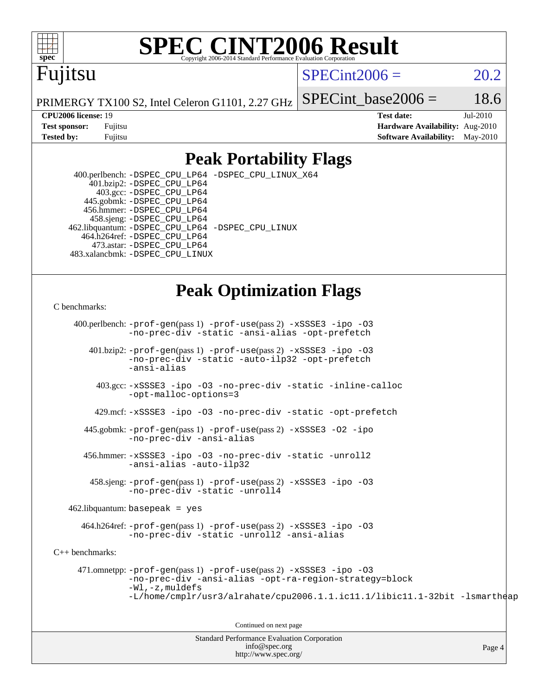

### Fujitsu

 $SPECint2006 = 20.2$  $SPECint2006 = 20.2$ 

PRIMERGY TX100 S2, Intel Celeron G1101, 2.27 GHz

SPECint base2006 =  $18.6$ 

**[CPU2006 license:](http://www.spec.org/auto/cpu2006/Docs/result-fields.html#CPU2006license)** 19 **[Test date:](http://www.spec.org/auto/cpu2006/Docs/result-fields.html#Testdate)** Jul-2010 **[Test sponsor:](http://www.spec.org/auto/cpu2006/Docs/result-fields.html#Testsponsor)** Fujitsu **[Hardware Availability:](http://www.spec.org/auto/cpu2006/Docs/result-fields.html#HardwareAvailability)** Aug-2010 **[Tested by:](http://www.spec.org/auto/cpu2006/Docs/result-fields.html#Testedby)** Fujitsu **[Software Availability:](http://www.spec.org/auto/cpu2006/Docs/result-fields.html#SoftwareAvailability)** May-2010

#### **[Peak Portability Flags](http://www.spec.org/auto/cpu2006/Docs/result-fields.html#PeakPortabilityFlags)**

 400.perlbench: [-DSPEC\\_CPU\\_LP64](http://www.spec.org/cpu2006/results/res2010q3/cpu2006-20100716-12441.flags.html#b400.perlbench_peakPORTABILITY_DSPEC_CPU_LP64) [-DSPEC\\_CPU\\_LINUX\\_X64](http://www.spec.org/cpu2006/results/res2010q3/cpu2006-20100716-12441.flags.html#b400.perlbench_peakCPORTABILITY_DSPEC_CPU_LINUX_X64) 401.bzip2: [-DSPEC\\_CPU\\_LP64](http://www.spec.org/cpu2006/results/res2010q3/cpu2006-20100716-12441.flags.html#suite_peakPORTABILITY401_bzip2_DSPEC_CPU_LP64) 403.gcc: [-DSPEC\\_CPU\\_LP64](http://www.spec.org/cpu2006/results/res2010q3/cpu2006-20100716-12441.flags.html#suite_peakPORTABILITY403_gcc_DSPEC_CPU_LP64) 445.gobmk: [-DSPEC\\_CPU\\_LP64](http://www.spec.org/cpu2006/results/res2010q3/cpu2006-20100716-12441.flags.html#suite_peakPORTABILITY445_gobmk_DSPEC_CPU_LP64) 456.hmmer: [-DSPEC\\_CPU\\_LP64](http://www.spec.org/cpu2006/results/res2010q3/cpu2006-20100716-12441.flags.html#suite_peakPORTABILITY456_hmmer_DSPEC_CPU_LP64) 458.sjeng: [-DSPEC\\_CPU\\_LP64](http://www.spec.org/cpu2006/results/res2010q3/cpu2006-20100716-12441.flags.html#suite_peakPORTABILITY458_sjeng_DSPEC_CPU_LP64) 462.libquantum: [-DSPEC\\_CPU\\_LP64](http://www.spec.org/cpu2006/results/res2010q3/cpu2006-20100716-12441.flags.html#suite_peakPORTABILITY462_libquantum_DSPEC_CPU_LP64) [-DSPEC\\_CPU\\_LINUX](http://www.spec.org/cpu2006/results/res2010q3/cpu2006-20100716-12441.flags.html#b462.libquantum_peakCPORTABILITY_DSPEC_CPU_LINUX) 464.h264ref: [-DSPEC\\_CPU\\_LP64](http://www.spec.org/cpu2006/results/res2010q3/cpu2006-20100716-12441.flags.html#suite_peakPORTABILITY464_h264ref_DSPEC_CPU_LP64) 473.astar: [-DSPEC\\_CPU\\_LP64](http://www.spec.org/cpu2006/results/res2010q3/cpu2006-20100716-12441.flags.html#suite_peakPORTABILITY473_astar_DSPEC_CPU_LP64) 483.xalancbmk: [-DSPEC\\_CPU\\_LINUX](http://www.spec.org/cpu2006/results/res2010q3/cpu2006-20100716-12441.flags.html#b483.xalancbmk_peakCXXPORTABILITY_DSPEC_CPU_LINUX)

#### **[Peak Optimization Flags](http://www.spec.org/auto/cpu2006/Docs/result-fields.html#PeakOptimizationFlags)**

#### [C benchmarks](http://www.spec.org/auto/cpu2006/Docs/result-fields.html#Cbenchmarks):

 400.perlbench: [-prof-gen](http://www.spec.org/cpu2006/results/res2010q3/cpu2006-20100716-12441.flags.html#user_peakPASS1_CFLAGSPASS1_LDFLAGS400_perlbench_prof_gen_e43856698f6ca7b7e442dfd80e94a8fc)(pass 1) [-prof-use](http://www.spec.org/cpu2006/results/res2010q3/cpu2006-20100716-12441.flags.html#user_peakPASS2_CFLAGSPASS2_LDFLAGS400_perlbench_prof_use_bccf7792157ff70d64e32fe3e1250b55)(pass 2) [-xSSSE3](http://www.spec.org/cpu2006/results/res2010q3/cpu2006-20100716-12441.flags.html#user_peakCOPTIMIZE400_perlbench_f-xSSSE3) [-ipo](http://www.spec.org/cpu2006/results/res2010q3/cpu2006-20100716-12441.flags.html#user_peakCOPTIMIZE400_perlbench_f-ipo) [-O3](http://www.spec.org/cpu2006/results/res2010q3/cpu2006-20100716-12441.flags.html#user_peakCOPTIMIZE400_perlbench_f-O3) [-no-prec-div](http://www.spec.org/cpu2006/results/res2010q3/cpu2006-20100716-12441.flags.html#user_peakCOPTIMIZE400_perlbench_f-no-prec-div) [-static](http://www.spec.org/cpu2006/results/res2010q3/cpu2006-20100716-12441.flags.html#user_peakCOPTIMIZE400_perlbench_f-static) [-ansi-alias](http://www.spec.org/cpu2006/results/res2010q3/cpu2006-20100716-12441.flags.html#user_peakCOPTIMIZE400_perlbench_f-ansi-alias) [-opt-prefetch](http://www.spec.org/cpu2006/results/res2010q3/cpu2006-20100716-12441.flags.html#user_peakCOPTIMIZE400_perlbench_f-opt-prefetch) 401.bzip2: [-prof-gen](http://www.spec.org/cpu2006/results/res2010q3/cpu2006-20100716-12441.flags.html#user_peakPASS1_CFLAGSPASS1_LDFLAGS401_bzip2_prof_gen_e43856698f6ca7b7e442dfd80e94a8fc)(pass 1) [-prof-use](http://www.spec.org/cpu2006/results/res2010q3/cpu2006-20100716-12441.flags.html#user_peakPASS2_CFLAGSPASS2_LDFLAGS401_bzip2_prof_use_bccf7792157ff70d64e32fe3e1250b55)(pass 2) [-xSSSE3](http://www.spec.org/cpu2006/results/res2010q3/cpu2006-20100716-12441.flags.html#user_peakCOPTIMIZE401_bzip2_f-xSSSE3) [-ipo](http://www.spec.org/cpu2006/results/res2010q3/cpu2006-20100716-12441.flags.html#user_peakCOPTIMIZE401_bzip2_f-ipo) [-O3](http://www.spec.org/cpu2006/results/res2010q3/cpu2006-20100716-12441.flags.html#user_peakCOPTIMIZE401_bzip2_f-O3) [-no-prec-div](http://www.spec.org/cpu2006/results/res2010q3/cpu2006-20100716-12441.flags.html#user_peakCOPTIMIZE401_bzip2_f-no-prec-div) [-static](http://www.spec.org/cpu2006/results/res2010q3/cpu2006-20100716-12441.flags.html#user_peakCOPTIMIZE401_bzip2_f-static) [-auto-ilp32](http://www.spec.org/cpu2006/results/res2010q3/cpu2006-20100716-12441.flags.html#user_peakCOPTIMIZE401_bzip2_f-auto-ilp32) [-opt-prefetch](http://www.spec.org/cpu2006/results/res2010q3/cpu2006-20100716-12441.flags.html#user_peakCOPTIMIZE401_bzip2_f-opt-prefetch) [-ansi-alias](http://www.spec.org/cpu2006/results/res2010q3/cpu2006-20100716-12441.flags.html#user_peakCOPTIMIZE401_bzip2_f-ansi-alias) 403.gcc: [-xSSSE3](http://www.spec.org/cpu2006/results/res2010q3/cpu2006-20100716-12441.flags.html#user_peakCOPTIMIZE403_gcc_f-xSSSE3) [-ipo](http://www.spec.org/cpu2006/results/res2010q3/cpu2006-20100716-12441.flags.html#user_peakCOPTIMIZE403_gcc_f-ipo) [-O3](http://www.spec.org/cpu2006/results/res2010q3/cpu2006-20100716-12441.flags.html#user_peakCOPTIMIZE403_gcc_f-O3) [-no-prec-div](http://www.spec.org/cpu2006/results/res2010q3/cpu2006-20100716-12441.flags.html#user_peakCOPTIMIZE403_gcc_f-no-prec-div) [-static](http://www.spec.org/cpu2006/results/res2010q3/cpu2006-20100716-12441.flags.html#user_peakCOPTIMIZE403_gcc_f-static) [-inline-calloc](http://www.spec.org/cpu2006/results/res2010q3/cpu2006-20100716-12441.flags.html#user_peakCOPTIMIZE403_gcc_f-inline-calloc) [-opt-malloc-options=3](http://www.spec.org/cpu2006/results/res2010q3/cpu2006-20100716-12441.flags.html#user_peakCOPTIMIZE403_gcc_f-opt-malloc-options_13ab9b803cf986b4ee62f0a5998c2238) 429.mcf: [-xSSSE3](http://www.spec.org/cpu2006/results/res2010q3/cpu2006-20100716-12441.flags.html#user_peakCOPTIMIZE429_mcf_f-xSSSE3) [-ipo](http://www.spec.org/cpu2006/results/res2010q3/cpu2006-20100716-12441.flags.html#user_peakCOPTIMIZE429_mcf_f-ipo) [-O3](http://www.spec.org/cpu2006/results/res2010q3/cpu2006-20100716-12441.flags.html#user_peakCOPTIMIZE429_mcf_f-O3) [-no-prec-div](http://www.spec.org/cpu2006/results/res2010q3/cpu2006-20100716-12441.flags.html#user_peakCOPTIMIZE429_mcf_f-no-prec-div) [-static](http://www.spec.org/cpu2006/results/res2010q3/cpu2006-20100716-12441.flags.html#user_peakCOPTIMIZE429_mcf_f-static) [-opt-prefetch](http://www.spec.org/cpu2006/results/res2010q3/cpu2006-20100716-12441.flags.html#user_peakCOPTIMIZE429_mcf_f-opt-prefetch) 445.gobmk: [-prof-gen](http://www.spec.org/cpu2006/results/res2010q3/cpu2006-20100716-12441.flags.html#user_peakPASS1_CFLAGSPASS1_LDFLAGS445_gobmk_prof_gen_e43856698f6ca7b7e442dfd80e94a8fc)(pass 1) [-prof-use](http://www.spec.org/cpu2006/results/res2010q3/cpu2006-20100716-12441.flags.html#user_peakPASS2_CFLAGSPASS2_LDFLAGS445_gobmk_prof_use_bccf7792157ff70d64e32fe3e1250b55)(pass 2) [-xSSSE3](http://www.spec.org/cpu2006/results/res2010q3/cpu2006-20100716-12441.flags.html#user_peakCOPTIMIZE445_gobmk_f-xSSSE3) [-O2](http://www.spec.org/cpu2006/results/res2010q3/cpu2006-20100716-12441.flags.html#user_peakCOPTIMIZE445_gobmk_f-O2) [-ipo](http://www.spec.org/cpu2006/results/res2010q3/cpu2006-20100716-12441.flags.html#user_peakCOPTIMIZE445_gobmk_f-ipo) [-no-prec-div](http://www.spec.org/cpu2006/results/res2010q3/cpu2006-20100716-12441.flags.html#user_peakCOPTIMIZE445_gobmk_f-no-prec-div) [-ansi-alias](http://www.spec.org/cpu2006/results/res2010q3/cpu2006-20100716-12441.flags.html#user_peakCOPTIMIZE445_gobmk_f-ansi-alias) 456.hmmer: [-xSSSE3](http://www.spec.org/cpu2006/results/res2010q3/cpu2006-20100716-12441.flags.html#user_peakCOPTIMIZE456_hmmer_f-xSSSE3) [-ipo](http://www.spec.org/cpu2006/results/res2010q3/cpu2006-20100716-12441.flags.html#user_peakCOPTIMIZE456_hmmer_f-ipo) [-O3](http://www.spec.org/cpu2006/results/res2010q3/cpu2006-20100716-12441.flags.html#user_peakCOPTIMIZE456_hmmer_f-O3) [-no-prec-div](http://www.spec.org/cpu2006/results/res2010q3/cpu2006-20100716-12441.flags.html#user_peakCOPTIMIZE456_hmmer_f-no-prec-div) [-static](http://www.spec.org/cpu2006/results/res2010q3/cpu2006-20100716-12441.flags.html#user_peakCOPTIMIZE456_hmmer_f-static) [-unroll2](http://www.spec.org/cpu2006/results/res2010q3/cpu2006-20100716-12441.flags.html#user_peakCOPTIMIZE456_hmmer_f-unroll_784dae83bebfb236979b41d2422d7ec2) [-ansi-alias](http://www.spec.org/cpu2006/results/res2010q3/cpu2006-20100716-12441.flags.html#user_peakCOPTIMIZE456_hmmer_f-ansi-alias) [-auto-ilp32](http://www.spec.org/cpu2006/results/res2010q3/cpu2006-20100716-12441.flags.html#user_peakCOPTIMIZE456_hmmer_f-auto-ilp32) 458.sjeng: [-prof-gen](http://www.spec.org/cpu2006/results/res2010q3/cpu2006-20100716-12441.flags.html#user_peakPASS1_CFLAGSPASS1_LDFLAGS458_sjeng_prof_gen_e43856698f6ca7b7e442dfd80e94a8fc)(pass 1) [-prof-use](http://www.spec.org/cpu2006/results/res2010q3/cpu2006-20100716-12441.flags.html#user_peakPASS2_CFLAGSPASS2_LDFLAGS458_sjeng_prof_use_bccf7792157ff70d64e32fe3e1250b55)(pass 2) [-xSSSE3](http://www.spec.org/cpu2006/results/res2010q3/cpu2006-20100716-12441.flags.html#user_peakCOPTIMIZE458_sjeng_f-xSSSE3) [-ipo](http://www.spec.org/cpu2006/results/res2010q3/cpu2006-20100716-12441.flags.html#user_peakCOPTIMIZE458_sjeng_f-ipo) [-O3](http://www.spec.org/cpu2006/results/res2010q3/cpu2006-20100716-12441.flags.html#user_peakCOPTIMIZE458_sjeng_f-O3) [-no-prec-div](http://www.spec.org/cpu2006/results/res2010q3/cpu2006-20100716-12441.flags.html#user_peakCOPTIMIZE458_sjeng_f-no-prec-div) [-static](http://www.spec.org/cpu2006/results/res2010q3/cpu2006-20100716-12441.flags.html#user_peakCOPTIMIZE458_sjeng_f-static) [-unroll4](http://www.spec.org/cpu2006/results/res2010q3/cpu2006-20100716-12441.flags.html#user_peakCOPTIMIZE458_sjeng_f-unroll_4e5e4ed65b7fd20bdcd365bec371b81f) 462.libquantum: basepeak = yes 464.h264ref: [-prof-gen](http://www.spec.org/cpu2006/results/res2010q3/cpu2006-20100716-12441.flags.html#user_peakPASS1_CFLAGSPASS1_LDFLAGS464_h264ref_prof_gen_e43856698f6ca7b7e442dfd80e94a8fc)(pass 1) [-prof-use](http://www.spec.org/cpu2006/results/res2010q3/cpu2006-20100716-12441.flags.html#user_peakPASS2_CFLAGSPASS2_LDFLAGS464_h264ref_prof_use_bccf7792157ff70d64e32fe3e1250b55)(pass 2) [-xSSSE3](http://www.spec.org/cpu2006/results/res2010q3/cpu2006-20100716-12441.flags.html#user_peakCOPTIMIZE464_h264ref_f-xSSSE3) [-ipo](http://www.spec.org/cpu2006/results/res2010q3/cpu2006-20100716-12441.flags.html#user_peakCOPTIMIZE464_h264ref_f-ipo) [-O3](http://www.spec.org/cpu2006/results/res2010q3/cpu2006-20100716-12441.flags.html#user_peakCOPTIMIZE464_h264ref_f-O3) [-no-prec-div](http://www.spec.org/cpu2006/results/res2010q3/cpu2006-20100716-12441.flags.html#user_peakCOPTIMIZE464_h264ref_f-no-prec-div) [-static](http://www.spec.org/cpu2006/results/res2010q3/cpu2006-20100716-12441.flags.html#user_peakCOPTIMIZE464_h264ref_f-static) [-unroll2](http://www.spec.org/cpu2006/results/res2010q3/cpu2006-20100716-12441.flags.html#user_peakCOPTIMIZE464_h264ref_f-unroll_784dae83bebfb236979b41d2422d7ec2) [-ansi-alias](http://www.spec.org/cpu2006/results/res2010q3/cpu2006-20100716-12441.flags.html#user_peakCOPTIMIZE464_h264ref_f-ansi-alias) [C++ benchmarks:](http://www.spec.org/auto/cpu2006/Docs/result-fields.html#CXXbenchmarks) 471.omnetpp: [-prof-gen](http://www.spec.org/cpu2006/results/res2010q3/cpu2006-20100716-12441.flags.html#user_peakPASS1_CXXFLAGSPASS1_LDFLAGS471_omnetpp_prof_gen_e43856698f6ca7b7e442dfd80e94a8fc)(pass 1) [-prof-use](http://www.spec.org/cpu2006/results/res2010q3/cpu2006-20100716-12441.flags.html#user_peakPASS2_CXXFLAGSPASS2_LDFLAGS471_omnetpp_prof_use_bccf7792157ff70d64e32fe3e1250b55)(pass 2) [-xSSSE3](http://www.spec.org/cpu2006/results/res2010q3/cpu2006-20100716-12441.flags.html#user_peakCXXOPTIMIZE471_omnetpp_f-xSSSE3) [-ipo](http://www.spec.org/cpu2006/results/res2010q3/cpu2006-20100716-12441.flags.html#user_peakCXXOPTIMIZE471_omnetpp_f-ipo) [-O3](http://www.spec.org/cpu2006/results/res2010q3/cpu2006-20100716-12441.flags.html#user_peakCXXOPTIMIZE471_omnetpp_f-O3) [-no-prec-div](http://www.spec.org/cpu2006/results/res2010q3/cpu2006-20100716-12441.flags.html#user_peakCXXOPTIMIZE471_omnetpp_f-no-prec-div) [-ansi-alias](http://www.spec.org/cpu2006/results/res2010q3/cpu2006-20100716-12441.flags.html#user_peakCXXOPTIMIZE471_omnetpp_f-ansi-alias) [-opt-ra-region-strategy=block](http://www.spec.org/cpu2006/results/res2010q3/cpu2006-20100716-12441.flags.html#user_peakCXXOPTIMIZE471_omnetpp_f-opt-ra-region-strategy-block_a0a37c372d03933b2a18d4af463c1f69) [-Wl,-z,muldefs](http://www.spec.org/cpu2006/results/res2010q3/cpu2006-20100716-12441.flags.html#user_peakEXTRA_LDFLAGS471_omnetpp_link_force_multiple1_74079c344b956b9658436fd1b6dd3a8a) [-L/home/cmplr/usr3/alrahate/cpu2006.1.1.ic11.1/libic11.1-32bit -lsmartheap](http://www.spec.org/cpu2006/results/res2010q3/cpu2006-20100716-12441.flags.html#user_peakEXTRA_LIBS471_omnetpp_SmartHeap_d86dffe4a79b79ef8890d5cce17030c3)

Continued on next page

Standard Performance Evaluation Corporation [info@spec.org](mailto:info@spec.org) <http://www.spec.org/>